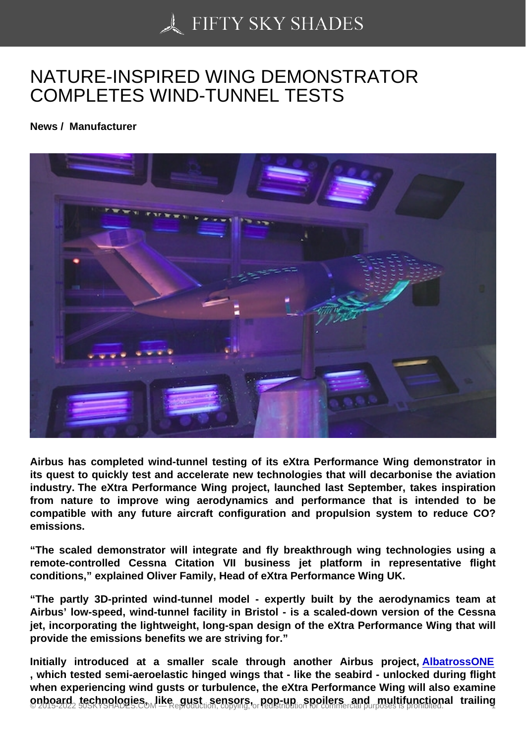## [NATURE-INSPIRED W](https://50skyshades.com)ING DEMONSTRATOR COMPLETES WIND-TUNNEL TESTS

News / Manufacturer

Airbus has completed wind-tunnel testing of its eXtra Performance Wing demonstrator in its quest to quickly test and accelerate new technologies that will decarbonise the aviation industry. The eXtra Performance Wing project, launched last September, takes inspiration from nature to improve wing aerodynamics and performance that is intended to be compatible with any future aircraft configuration and propulsion system to reduce CO? emissions.

"The scaled demonstrator will integrate and fly breakthrough wing technologies using a remote-controlled Cessna Citation VII business jet platform in representative flight conditions," explained Oliver Family, Head of eXtra Performance Wing UK.

"The partly 3D-printed wind-tunnel model - expertly built by the aerodynamics team at Airbus' low-speed, wind-tunnel facility in Bristol - is a scaled-down version of the Cessna jet, incorporating the lightweight, long-span design of the eXtra Performance Wing that will provide the emissions benefits we are striving for."

Initially introduced at a smaller scale through another Airbus project, AlbatrossONE , which tested semi-aeroelastic hinged wings that - like the seabird - unlocked during flight when experiencing wind gusts or turbulence, the eXtra Performance Wing will also examine onboard technologies, like gust sensors, pop-up spoilers and multifunctional trailing  $\frac{1}{1}$